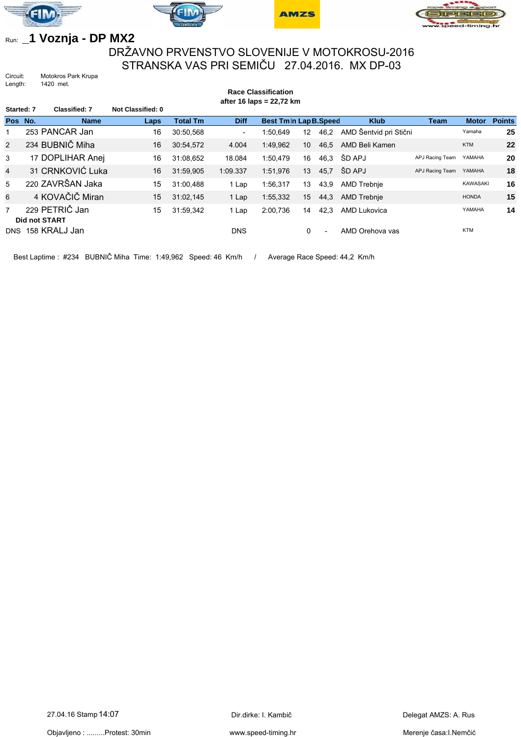







## Run: **\_1 Voznja - DP MX2**

## DRŽAVNO PRVENSTVO SLOVENIJE V MOTOKROSU-2016 STRANSKA VAS PRI SEMIČU 27.04.2016. MX DP-03

**Race Classification**

Circuit: Motokros Park Krupa<br>Length: 1420 met. 1420 met.

| after 16 laps = 22,72 km |                      |                  |                   |                 |                          |                       |                 |                          |                        |                 |                 |               |
|--------------------------|----------------------|------------------|-------------------|-----------------|--------------------------|-----------------------|-----------------|--------------------------|------------------------|-----------------|-----------------|---------------|
| Started: 7               |                      | Classified: 7    | Not Classified: 0 |                 |                          |                       |                 |                          |                        |                 |                 |               |
| Pos No.                  |                      | <b>Name</b>      | Laps              | <b>Total Tm</b> | <b>Diff</b>              | Best Tmln Lap B.Speed |                 |                          | <b>Klub</b>            | <b>Team</b>     | <b>Motor</b>    | <b>Points</b> |
|                          |                      | 253 PANCAR Jan   | 16                | 30:50,568       | $\overline{\phantom{0}}$ | 1:50.649              | 12 <sup>2</sup> | 46,2                     | AMD Šentvid pri Stični |                 | Yamaha          | 25            |
| 2                        |                      | 234 BUBNIC Miha  | 16                | 30:54,572       | 4.004                    | 1:49,962              | 10              | 46,5                     | AMD Beli Kamen         |                 | <b>KTM</b>      | 22            |
| 3                        |                      | 17 DOPLIHAR Anej | 16                | 31:08.652       | 18.084                   | 1:50.479              | 16              | 46.3                     | ŠD APJ                 | APJ Racing Team | YAMAHA          | 20            |
| $\overline{4}$           |                      | 31 CRNKOVIĆ Luka | 16                | 31:59,905       | 1:09.337                 | 1:51,976              | 13              | 45,7                     | ŠD APJ                 | APJ Racing Team | YAMAHA          | 18            |
| 5                        |                      | 220 ZAVRŠAN Jaka | 15                | 31:00.488       | 1 Lap                    | 1:56.317              | 13              | 43,9                     | <b>AMD Trebnie</b>     |                 | <b>KAWASAKI</b> | 16            |
| 6                        |                      | 4 KOVAČIČ Miran  | 15                | 31:02.145       | 1 Lap                    | 1:55,332              | 15              | 44,3                     | AMD Trebnje            |                 | <b>HONDA</b>    | 15            |
| $\overline{7}$           | <b>Did not START</b> | 229 PETRIČ Jan   | 15                | 31:59,342       | 1 Lap                    | 2:00,736              | 14              | 42,3                     | <b>AMD Lukovica</b>    |                 | YAMAHA          | 14            |
| DNS                      |                      | 158 KRALJ Jan    |                   |                 | <b>DNS</b>               |                       | 0               | $\overline{\phantom{0}}$ | AMD Orehova vas        |                 | <b>KTM</b>      |               |

Best Laptime : #234 BUBNIČ Miha Time: 1:49,962 Speed: 46 Km/h / Average Race Speed: 44,2 Km/h

Objavljeno : .........Protest: 30min